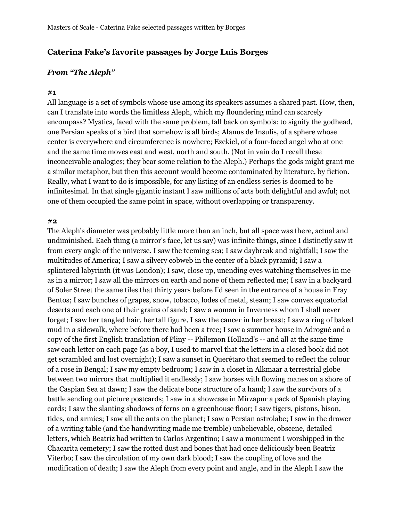## **Caterina Fake's favorite passages by Jorge Luis Borges**

## *From "The Aleph"*

## **#1**

All language is a set of symbols whose use among its speakers assumes a shared past. How, then, can I translate into words the limitless Aleph, which my floundering mind can scarcely encompass? Mystics, faced with the same problem, fall back on symbols: to signify the godhead, one Persian speaks of a bird that somehow is all birds; Alanus de Insulis, of a sphere whose center is everywhere and circumference is nowhere; Ezekiel, of a four-faced angel who at one and the same time moves east and west, north and south. (Not in vain do I recall these inconceivable analogies; they bear some relation to the Aleph.) Perhaps the gods might grant me a similar metaphor, but then this account would become contaminated by literature, by fiction. Really, what I want to do is impossible, for any listing of an endless series is doomed to be infinitesimal. In that single gigantic instant I saw millions of acts both delightful and awful; not one of them occupied the same point in space, without overlapping or transparency.

## **#2**

The Aleph's diameter was probably little more than an inch, but all space was there, actual and undiminished. Each thing (a mirror's face, let us say) was infinite things, since I distinctly saw it from every angle of the universe. I saw the teeming sea; I saw daybreak and nightfall; I saw the multitudes of America; I saw a silvery cobweb in the center of a black pyramid; I saw a splintered labyrinth (it was London); I saw, close up, unending eyes watching themselves in me as in a mirror; I saw all the mirrors on earth and none of them reflected me; I saw in a backyard of Soler Street the same tiles that thirty years before I'd seen in the entrance of a house in Fray Bentos; I saw bunches of grapes, snow, tobacco, lodes of metal, steam; I saw convex equatorial deserts and each one of their grains of sand; I saw a woman in Inverness whom I shall never forget; I saw her tangled hair, her tall figure, I saw the cancer in her breast; I saw a ring of baked mud in a sidewalk, where before there had been a tree; I saw a summer house in Adrogué and a copy of the first English translation of Pliny -- Philemon Holland's -- and all at the same time saw each letter on each page (as a boy, I used to marvel that the letters in a closed book did not get scrambled and lost overnight); I saw a sunset in Querétaro that seemed to reflect the colour of a rose in Bengal; I saw my empty bedroom; I saw in a closet in Alkmaar a terrestrial globe between two mirrors that multiplied it endlessly; I saw horses with flowing manes on a shore of the Caspian Sea at dawn; I saw the delicate bone structure of a hand; I saw the survivors of a battle sending out picture postcards; I saw in a showcase in Mirzapur a pack of Spanish playing cards; I saw the slanting shadows of ferns on a greenhouse floor; I saw tigers, pistons, bison, tides, and armies; I saw all the ants on the planet; I saw a Persian astrolabe; I saw in the drawer of a writing table (and the handwriting made me tremble) unbelievable, obscene, detailed letters, which Beatriz had written to Carlos Argentino; I saw a monument I worshipped in the Chacarita cemetery; I saw the rotted dust and bones that had once deliciously been Beatriz Viterbo; I saw the circulation of my own dark blood; I saw the coupling of love and the modification of death; I saw the Aleph from every point and angle, and in the Aleph I saw the